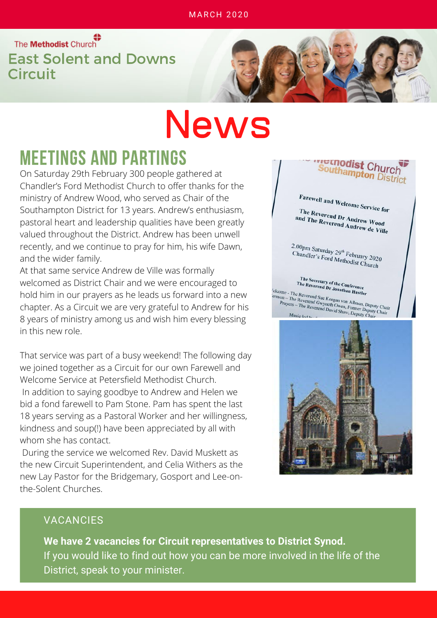The Methodist Church<br>
East Solent and Downs **Circuit** 

# News

#### MEETINGS AND PARTINGS

On Saturday 29th February 300 people gathered at Chandler's Ford Methodist Church to offer thanks for the ministry of Andrew Wood, who served as Chair of the Southampton District for 13 years. Andrew's enthusiasm, pastoral heart and leadership qualities have been greatly valued throughout the District. Andrew has been unwell recently, and we continue to pray for him, his wife Dawn, and the wider family.

At that same service Andrew de Ville was formally welcomed as District Chair and we were encouraged to hold him in our prayers as he leads us forward into a new chapter. As a Circuit we are very grateful to Andrew for his 8 years of ministry among us and wish him every blessing in this new role.

That service was part of a busy weekend! The following day we joined together as a Circuit for our own Farewell and Welcome Service at Petersfield Methodist Church. In addition to saying goodbye to Andrew and Helen we bid a fond farewell to Pam Stone. Pam has spent the last 18 years serving as a Pastoral Worker and her willingness, kindness and soup(!) have been appreciated by all with whom she has contact.

During the service we welcomed Rev. David Muskett as the new Circuit Superintendent, and Celia Withers as the new Lay Pastor for the Bridgemary, Gosport and Lee-onthe-Solent Churches.



#### VACANCIES

**We have 2 vacancies for Circuit representatives to District Synod.** If you would like to find out how you can be more involved in the life of the District, speak to your minister.